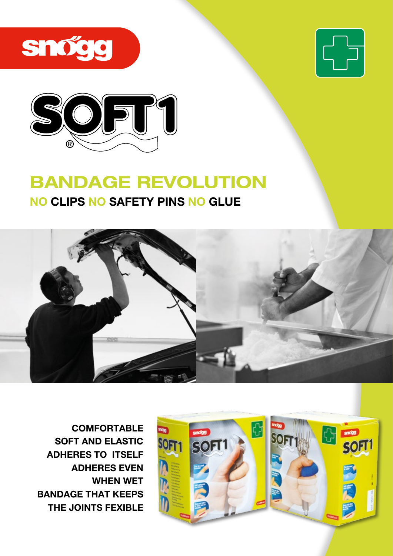





## BANDAGE REVOLUTION

## NO CLIPS NO SAFETY PINS NO GLUE



**COMFORTABLE** SOFT AND ELASTIC ADHERES TO ITSELF ADHERES EVEN WHEN WET BANDAGE THAT KEEPS THE JOINTS FEXIBLE